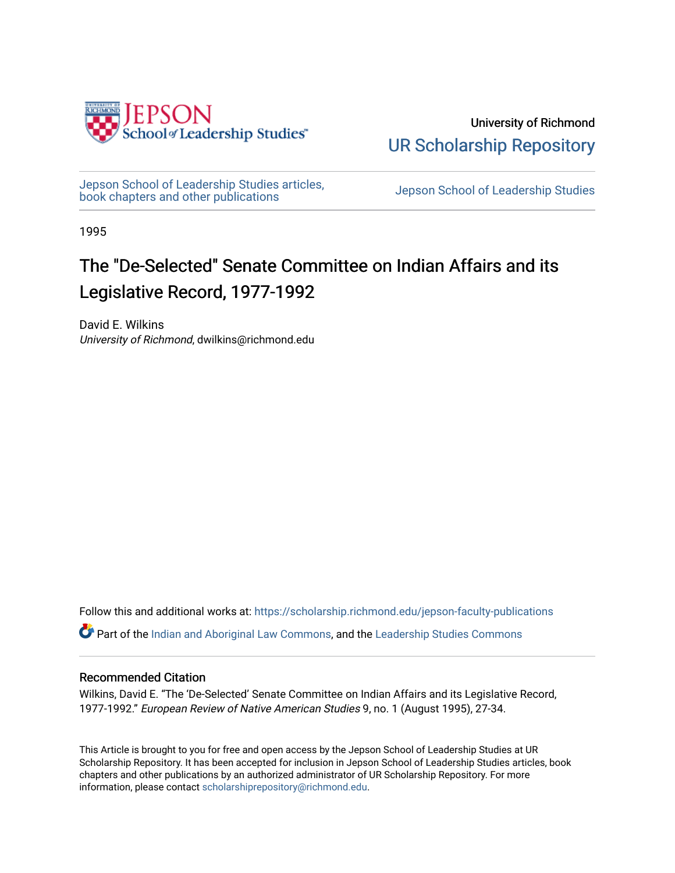

University of Richmond [UR Scholarship Repository](https://scholarship.richmond.edu/) 

[Jepson School of Leadership Studies articles,](https://scholarship.richmond.edu/jepson-faculty-publications) bepson School of Leadership Studies articles,<br>[book chapters and other publications](https://scholarship.richmond.edu/jepson-faculty-publications) book chapters and other publications

1995

## The "De-Selected" Senate Committee on Indian Affairs and its Legislative Record, 1977-1992

David E. Wilkins University of Richmond, dwilkins@richmond.edu

Follow this and additional works at: [https://scholarship.richmond.edu/jepson-faculty-publications](https://scholarship.richmond.edu/jepson-faculty-publications?utm_source=scholarship.richmond.edu%2Fjepson-faculty-publications%2F302&utm_medium=PDF&utm_campaign=PDFCoverPages)

Part of the [Indian and Aboriginal Law Commons,](http://network.bepress.com/hgg/discipline/894?utm_source=scholarship.richmond.edu%2Fjepson-faculty-publications%2F302&utm_medium=PDF&utm_campaign=PDFCoverPages) and the [Leadership Studies Commons](http://network.bepress.com/hgg/discipline/1250?utm_source=scholarship.richmond.edu%2Fjepson-faculty-publications%2F302&utm_medium=PDF&utm_campaign=PDFCoverPages) 

#### Recommended Citation

Wilkins, David E. "The 'De-Selected' Senate Committee on Indian Affairs and its Legislative Record, 1977-1992." European Review of Native American Studies 9, no. 1 (August 1995), 27-34.

This Article is brought to you for free and open access by the Jepson School of Leadership Studies at UR Scholarship Repository. It has been accepted for inclusion in Jepson School of Leadership Studies articles, book chapters and other publications by an authorized administrator of UR Scholarship Repository. For more information, please contact [scholarshiprepository@richmond.edu](mailto:scholarshiprepository@richmond.edu).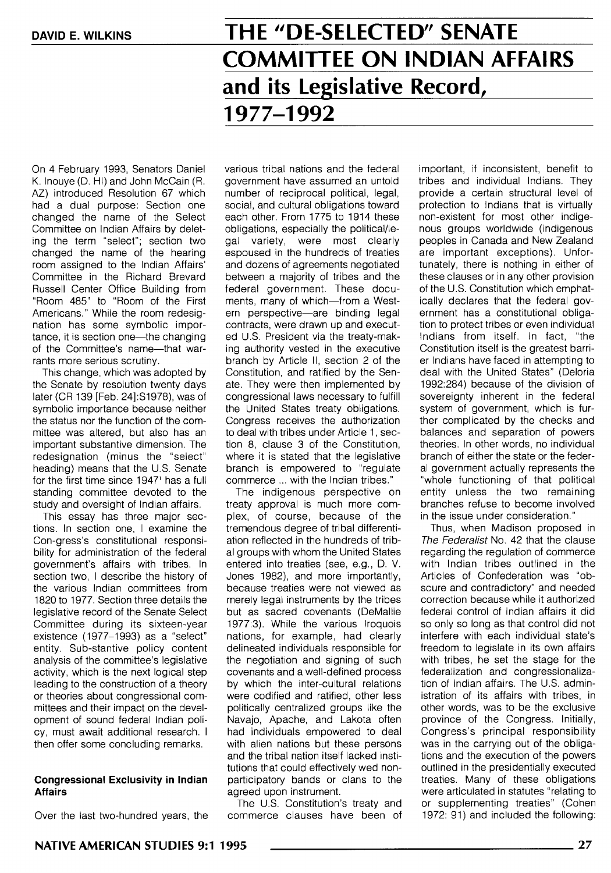# **THE "DE-SELECTED" SENATE COMMITTEE ON INDIAN AFFAIRS and its Legislative Record, 1977-1992**

On 4 February 1993, Senators Daniel K. Inouye (D. HI) and John McCain (R. AZ) introduced Resolution 67 which had a dual purpose: Section one changed the name of the Select Committee on Indian Affairs by deleting the term "select"; section two changed the name of the hearing room assigned to the Indian Affairs' Committee in the Richard Brevard Russell Center Office Building from "Room 485" to "Room of the First Americans." While the room redesignation has some symbolic importance, it is section one-the changing of the Committee's name-that warrants more serious scrutiny.

This change, which was adopted by the Senate by resolution twenty days later (CR 139 [Feb. 24]:S1978), was of symbolic importance because neither the status nor the function of the committee was altered, but also has an important substantive dimension. The redesignation (minus the "select" heading) means that the U.S. Senate for the first time since 1947<sup>1</sup> has a full standing committee devoted to the study and oversight of Indian affairs.

This essay has three major sections. In section one, I examine the Con-gress's constitutional responsibility for administration of the federal government's affairs with tribes. In section two, I describe the history of the various Indian committees from 1820 to 1977. Section three details the legislative record of the Senate Select Committee during its sixteen-year existence ( 1977-1993) as a "select" entity. Sub-stantive policy content analysis of the committee's legislative activity, which is the next logical step leading to the construction of a theory or theories about congressional committees and their impact on the development of sound federal Indian policy, must await additional research. I then offer some concluding remarks.

#### **Congressional Exclusivity in Indian Affairs**

Over the last two-hundred years, the

various tribal nations and the federal government have assumed an untold number of reciprocal political, legal, social, and cultural obligations toward each other. From 1775 to 1914 these obligations, especially the political/legal variety, were most clearly espoused in the hundreds of treaties and dozens of agreements negotiated between a majority of tribes and the federal government. These documents, many of which-from a Western perspective-are binding legal contracts, were drawn up and executed U.S. President via the treaty-making authority vested in the executive branch by Article 11, section 2 of the Constitution, and ratified by the Senate. They were then implemented by congressional laws necessary to fulfill the United States treaty obligations. Congress receives the authorization to deal with tribes under Article 1, section 8, clause 3 of the Constitution, where it is stated that the legislative branch is empowered to "regulate commerce ... with the Indian tribes."

The indigenous perspective on treaty approval is much more complex, of course, because of the tremendous degree of tribal differentiation reflected in the hundreds of tribal groups with whom the United States entered into treaties (see, e.g., D. V. Jones 1982), and more importantly, because treaties were not viewed as merely legal instruments by the tribes but as sacred covenants (DeMallie 1977:3). While the various Iroquois nations, for example, had clearly delineated individuals responsible for the negotiation and signing of such covenants and a well-defined process by which the inter-cultural relations were codified and ratified, other less politically centralized groups like the Navajo, Apache, and Lakota often had individuals empowered to deal with alien nations but these persons and the tribal nation itself lacked institutions that could effectively wed nonparticipatory bands or clans to the agreed upon instrument.

The U.S. Constitution's treaty and commerce clauses have been of

important, if inconsistent, benefit to tribes and individual Indians. They provide a certain structural level of protection to Indians that is virtually non-existent for most other indigenous groups worldwide (indigenous peoples in Canada and New Zealand are important exceptions). Unfortunately, there is nothing in either of these clauses or in any other provision of the U.S. Constitution which emphatically declares that the federal government has a constitutional obligation to protect tribes or even individual Indians from itself. In fact, "the Constitution itself is the greatest barrier Indians have faced in attempting to deal with the United States" (Deloria 1992:284) because of the division of sovereignty inherent in the federal system of government, which is further complicated by the checks and balances and separation of powers theories. In other words, no individual branch of either the state or the federal government actually represents the "whole functioning of that political entity unless the two remaining branches refuse to become involved in the issue under consideration."

Thus, when Madison proposed in The Federalist No. 42 that the clause regarding the regulation of commerce with Indian tribes outlined in the Articles of Confederation was "obscure and contradictory" and needed correction because while it authorized federal control of Indian affairs it did so only so long as that control did not interfere with each individual state's freedom to legislate in its own affairs with tribes, he set the stage for the federalization and congressionalization of Indian affairs. The U.S. administration of its affairs with tribes, in other words, was to be the exclusive province of the Congress. Initially, Congress's principal responsibility was in the carrying out of the obligations and the execution of the powers outlined in the presidentially executed treaties. Many of these obligations were articulated in statutes "relating to or supplementing treaties" (Cohen 1972: 91) and included the following: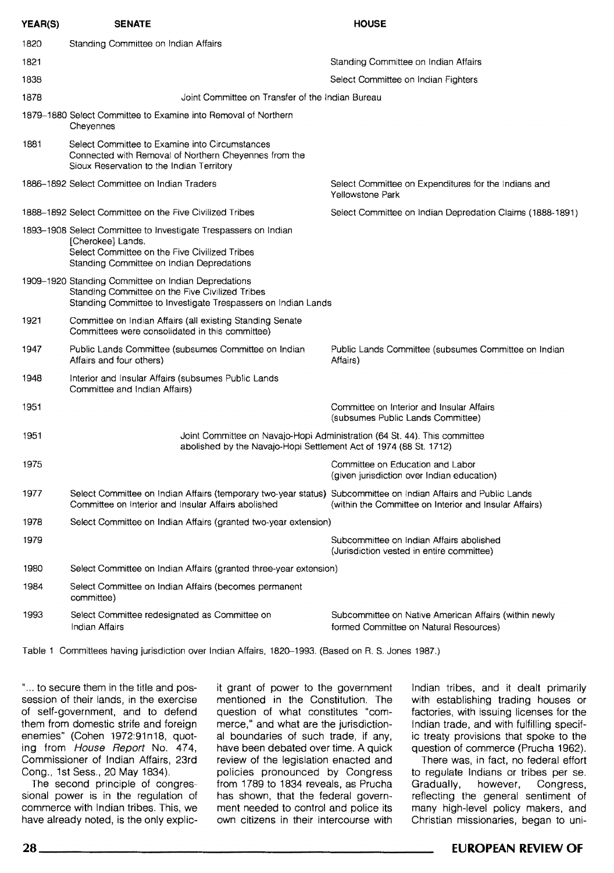| YEAR(S) | <b>SENATE</b>                                                                                                                                                                      | <b>HOUSE</b>                                                                                    |
|---------|------------------------------------------------------------------------------------------------------------------------------------------------------------------------------------|-------------------------------------------------------------------------------------------------|
| 1820    | Standing Committee on Indian Affairs                                                                                                                                               |                                                                                                 |
| 1821    |                                                                                                                                                                                    | Standing Committee on Indian Affairs                                                            |
| 1838    |                                                                                                                                                                                    | Select Committee on Indian Fighters                                                             |
| 1878    | Joint Committee on Transfer of the Indian Bureau                                                                                                                                   |                                                                                                 |
|         | 1879–1880 Select Committee to Examine into Removal of Northern<br>Cheyennes                                                                                                        |                                                                                                 |
| 1881    | Select Committee to Examine into Circumstances<br>Connected with Removal of Northern Cheyennes from the<br>Sioux Reservation to the Indian Territory                               |                                                                                                 |
|         | 1886-1892 Select Committee on Indian Traders                                                                                                                                       | Select Committee on Expenditures for the Indians and<br>Yellowstone Park                        |
|         | 1888-1892 Select Committee on the Five Civilized Tribes                                                                                                                            | Select Committee on Indian Depredation Claims (1888-1891)                                       |
|         | 1893-1908 Select Committee to Investigate Trespassers on Indian<br>[Cherokee] Lands.<br>Select Committee on the Five Civilized Tribes<br>Standing Committee on Indian Depredations |                                                                                                 |
|         | 1909–1920 Standing Committee on Indian Depredations<br>Standing Committee on the Five Civilized Tribes<br>Standing Committee to Investigate Trespassers on Indian Lands            |                                                                                                 |
| 1921    | Committee on Indian Affairs (all existing Standing Senate<br>Committees were consolidated in this committee)                                                                       |                                                                                                 |
| 1947    | Public Lands Committee (subsumes Committee on Indian<br>Affairs and four others)                                                                                                   | Public Lands Committee (subsumes Committee on Indian<br>Affairs)                                |
| 1948    | Interior and Insular Affairs (subsumes Public Lands<br>Committee and Indian Affairs)                                                                                               |                                                                                                 |
| 1951    |                                                                                                                                                                                    | Committee on Interior and Insular Affairs<br>(subsumes Public Lands Committee)                  |
| 1951    | Joint Committee on Navajo-Hopi Administration (64 St. 44). This committee<br>abolished by the Navajo-Hopi Settlement Act of 1974 (88 St. 1712)                                     |                                                                                                 |
| 1975    |                                                                                                                                                                                    | Committee on Education and Labor<br>(given jurisdiction over Indian education)                  |
| 1977    | Select Committee on Indian Affairs (temporary two-year status) Subcommittee on Indian Affairs and Public Lands<br>Committee on Interior and Insular Affairs abolished              | (within the Committee on Interior and Insular Affairs)                                          |
| 1978    | Select Committee on Indian Affairs (granted two-year extension)                                                                                                                    |                                                                                                 |
| 1979    |                                                                                                                                                                                    | Subcommittee on Indian Affairs abolished<br>(Jurisdiction vested in entire committee)           |
| 1980    | Select Committee on Indian Affairs (granted three-year extension)                                                                                                                  |                                                                                                 |
| 1984    | Select Committee on Indian Affairs (becomes permanent<br>committee)                                                                                                                |                                                                                                 |
| 1993    | Select Committee redesignated as Committee on<br>Indian Affairs                                                                                                                    | Subcommittee on Native American Affairs (within newly<br>formed Committee on Natural Resources) |

Table 1 Committees having jurisdiction over Indian Affairs, 1820-1993. (Based on R. S. Jones 1987.)

"... to secure them in the title and possession of their lands, in the exercise of self-government, and to defend them from domestic strife and foreign enemies" (Cohen 1972:91n18, quoting from House Report No. 474, Commissioner of Indian Affairs, 23rd Cong., 1st Sess., 20 May 1834).

The second principle of congressional power is in the regulation of commerce with Indian tribes. This, we have already noted, is the only explicit grant of power to the government mentioned in the Constitution. The question of what constitutes "commerce," and what are the jurisdictional boundaries of such trade, if any, have been debated over time. A quick review of the legislation enacted and policies pronounced by Congress from 1789 to 1834 reveals, as Prucha has shown, that the federal government needed to control and police its own citizens in their intercourse with

Indian tribes, and it dealt primarily with establishing trading houses or factories, with issuing licenses for the Indian trade, and with fulfilling specific treaty provisions that spoke to the question of commerce (Prucha 1962).

There was, in fact, no federal effort to regulate Indians or tribes per se.<br>Gradually, however, Congress, however, Congress, reflecting the general sentiment of many high-level policy makers, and Christian missionaries, began to uni-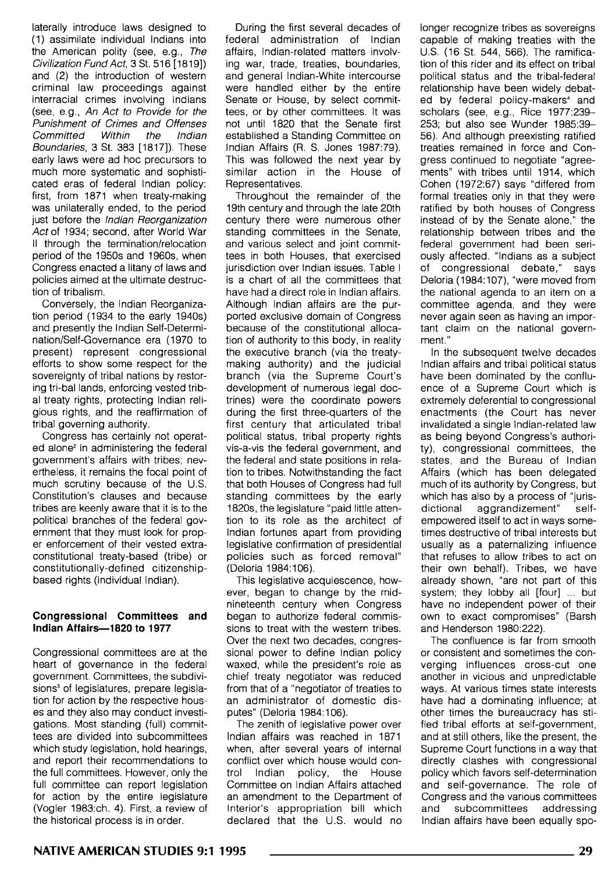laterally introduce laws designed to (1) assimilate individual Indians into the American polity (see, e.g., The Civilization Fund Act, 3 St. 516 [1819]) and (2) the introduction of western criminal law proceedings against interracial crimes involving Indians (see, e.g., An Act to Provide for the Punishment of Crimes and Offenses Committed Within the Indian Boundaries, 3 St. 383 [1817]). These early laws were ad hoc precursors to much more systematic and sophisticated eras of federal Indian policy: first, from 1871 when treaty-making was unilaterally ended, to the period just before the Indian Reorganization Act of 1934; second, after World War II through the termination/relocation period of the 1950s and 1960s, when Congress enacted a litany of laws and policies aimed at the ultimate destruction of tribalism.

Conversely, the Indian Reorganization period ( 1934 to the early 1940s) and presently the Indian Self-Determination/Self-Governance era (1970 to present) represent congressional efforts to show some respect for the sovereignty of tribal nations by restoring tri-bal lands, enforcing vested tribal treaty rights, protecting Indian religious rights, and the reaffirmation of tribal governing authority.

Congress has certainly not operated alone<sup>2</sup> in administering the federal government's affairs with tribes; nevertheless, it remains the focal point of much scrutiny because of the U.S. Constitution's clauses and because tribes are keenly aware that it is to the political branches of the federal government that they must look for proper enforcement of their vested extraconstitutional treaty-based (tribe) or constitutionally-defined citizenshipbased rights (individual Indian).

#### **Congressional Committees and Indian Affairs-1820 to 1977**

Congressional committees are at the heart of governance in the federal government. Committees, the subdivisions<sup>3</sup> of legislatures, prepare legislation for action by the respective houses and they also may conduct investigations. Most standing (full) committees are divided into subcommittees which study legislation, hold hearings, and report their recommendations to the full committees. However, only the full committee can report legislation for action by the entire legislature (Vogler 1983:ch. 4). First, a review of the historical process is in order.

During the first several decades of federal administration of Indian affairs, Indian-related matters involving war, trade, treaties, boundaries, and general Indian-White intercourse were handled either by the entire Senate or House, by select committees, or by other committees. It was not until 1820 that the Senate first established a Standing Committee on Indian Affairs (R. S. Jones 1987:79). This was followed the next year by similar action in the House of Representatives.

Throughout the remainder of the 19th century and through the late 20th century there were numerous other standing committees in the Senate, and various select and joint committees in both Houses, that exercised jurisdiction over Indian issues. Table I is a chart of all the committees that have had a direct role in Indian affairs. Although Indian affairs are the purported exclusive domain of Congress because of the constitutional allocation of authority to this body, in reality the executive branch (via the treatymaking authority) and the judicial branch (via the Supreme Court's development of numerous legal doctrines) were the coordinate powers during the first three-quarters of the first century that articulated tribal political status, tribal property rights vis-a-vis the federal government, and the federal and state positions in relation to tribes. Notwithstanding the fact that both Houses of Congress had full standing committees by the early 1820s, the legislature "paid little attention to its role as the architect of Indian fortunes apart from providing legislative confirmation of presidential policies such as forced removal" (Deloria 1984:106).

This legislative acquiescence, however, began to change by the midnineteenth century when Congress began to authorize federal commissions to treat with the western tribes. Over the next two decades, congressional power to define Indian policy waxed, while the president's role as chief treaty negotiator was reduced from that of a "negotiator of treaties to an administrator of domestic disputes" (Deloria 1984: 106).

The zenith of legislative power over Indian affairs was reached in 1871 when, after several years of internal conflict over which house would control Indian policy, the House Committee on Indian Affairs attached an amendment to the Department of Interior's appropriation bill which declared that the U.S. would no

longer recognize tribes as sovereigns capable of making treaties with the U.S. (16 St. 544, 566). The ramification of this rider and its effect on tribal political status and the tribal-federal relationship have been widely debated by federal policy-makers• and scholars (see, e.g., Rice 1977:239- 253; but also see Wunder 1985:39- 56). And although preexisting ratified treaties remained in force and Congress continued to negotiate "agreements" with tribes until 1914, which Cohen (1972:67) says "differed from formal treaties only in that they were ratified by both houses of Congress instead of by the Senate alone," the relationship between tribes and the federal government had been seriously affected. "Indians as a subject of congressional debate," says Deloria (1984:107), "were moved from the national agenda to an item on a committee agenda, and they were never again seen as having an important claim on the national government."

In the subsequent twelve decades Indian affairs and tribal political status have been dominated by the confluence of a Supreme Court which is extremely deferential to congressional enactments (the Court has never invalidated a single Indian-related law as being beyond Congress's authority), congressional committees, the states, and the Bureau of Indian Affairs (which has been delegated much of its authority by Congress, but which has also by a process of "jurisdictional aggrandizement" selfempowered itself to act in ways sometimes destructive of tribal interests but usually as a paternalizing influence that refuses to allow tribes to act on their own behalf). Tribes, we have already shown, "are not part of this system; they lobby all [four] ... but have no independent power of their own to exact compromises" (Barsh and Henderson 1980:222).

The confluence is far from smooth or consistent and sometimes the converging influences cross-cut one another in vicious and unpredictable ways. At various times state interests have had a dominating influence; at other times the bureaucracy has stifled tribal efforts at self-government, and at still others, like the present, the Supreme Court functions in a way that directly clashes with congressional policy which favors self-determination and self-governance. The role of Congress and the various committees and subcommittees addressing Indian affairs have been equally spo-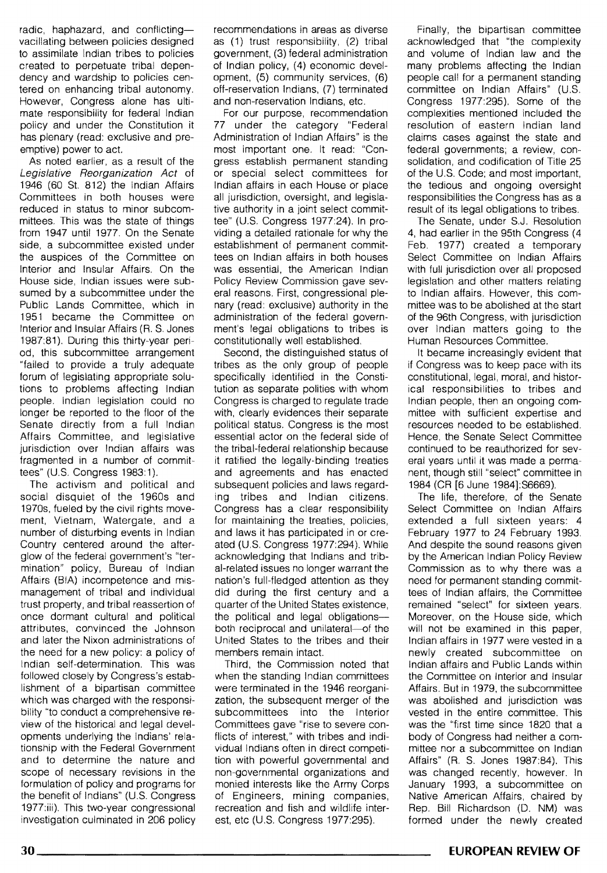radic, haphazard, and conflictingvacillating between policies designed to assimilate Indian tribes to policies created to perpetuate tribal dependency and wardship to policies centered on enhancing tribal autonomy. However, Congress alone has ultimate responsibility for federal Indian policy and under the Constitution it has plenary (read: exclusive and preemptive) power to act.

As noted earlier, as a result of the Legislative Reorganization Act of 1946 (60 St. 812) the Indian Affairs Committees in both houses were reduced in status to minor subcommittees. This was the state of things from 1947 until 1977. On the Senate side, a subcommittee existed under the auspices of the Committee on Interior and Insular Affairs. On the House side, Indian issues were subsumed by a subcommittee under the Public Lands Committee, which in 1951 became the Committee on Interior and Insular Affairs (R. S. Jones 1987:81 ). During this thirty-year period, this subcommittee arrangement "failed to provide a truly adequate forum of legislating appropriate solutions to problems affecting Indian people. Indian legislation could no longer be reported to the floor of the Senate directly from a full Indian Affairs Committee, and legislative jurisdiction over Indian affairs was fragmented in a number of committees" (U.S. Congress 1983:1).

The activism and political and social disquiet of the 1960s and 1970s, fueled by the civil rights movement, Vietnam, Watergate, and a number of disturbing events in Indian Country centered around the afterglow of the federal government's "termination" policy, Bureau of Indian Affairs (BIA) incompetence and mismanagement of tribal and individual trust property, and tribal reassertion of once dormant cultural and political attributes, convinced the Johnson and later the Nixon administrations of the need for a new policy: a policy of Indian self-determination. This was followed closely by Congress's establishment of a bipartisan committee which was charged with the responsibility "to conduct a comprehensive review of the historical and legal developments underlying the Indians' relationship with the Federal Government and to determine the nature and scope of necessary revisions in the formulation of policy and programs for the benefit of Indians" (U.S. Congress 1977:iii). This two-year congressional investigation culminated in 206 policy recommendations in areas as diverse as (1) trust responsibility, (2) tribal government, (3) federal administration of Indian policy, (4) economic development, (5) community services, (6) oft-reservation Indians, (7) terminated and non-reservation Indians, etc.

For our purpose, recommendation 77 under the category "Federal Administration of Indian Affairs" is the most important one. It read: "Congress establish permanent standing or special select committees tor Indian affairs in each House or place all jurisdiction, oversight, and legislative authority in a joint select committee" (U.S. Congress 1977:24). In providing a detailed rationale for why the establishment of permanent committees on Indian affairs in both houses was essential, the American Indian Policy Review Commission gave several reasons. First, congressional plenary (read: exclusive) authority in the administration of the federal government's legal obligations to tribes is constitutionally well established.

Second, the distinguished status of tribes as the only group of people specifically identified in the Constitution as separate polities with whom Congress is charged to regulate trade with, clearly evidences their separate political status. Congress is the most essential actor on the federal side of the tribal-federal relationship because it ratified the legally-binding treaties and agreements and has enacted subsequent policies and laws regarding tribes and Indian citizens. Congress has a clear responsibility for maintaining the treaties, policies, and laws it has participated in or created (U.S. Congress 1977:294). While acknowledging that Indians and tribal-related issues no longer warrant the nation's full-fledged attention as they did during the first century and a quarter of the United States existence, the political and legal obligationsboth reciprocal and unilateral-of the United States to the tribes and their members remain intact.

Third, the Commission noted that when the standing Indian committees were terminated in the 1946 reorganization, the subsequent merger of the subcommittees into the Interior Committees gave "rise to severe conflicts of interest," with tribes and individual Indians often in direct competition with powerful governmental and non-governmental organizations and monied interests like the Army Corps of Engineers, mining companies, recreation and fish and wildlife interest, etc (U.S. Congress 1977:295).

Finally, the bipartisan committee acknowledged that "the complexity and volume of Indian law and the many problems affecting the Indian people call for a permanent standing committee on Indian Affairs" (U.S. Congress 1977:295). Some of the complexities mentioned included the resolution of eastern Indian land claims cases against the state and federal governments; a review, consolidation, and codification of Title 25 of the U.S. Code; and most important, the tedious and ongoing oversight responsibilities the Congress has as a result of its legal obligations to tribes.

The Senate, under S.J. Resolution 4, had earlier in the 95th Congress (4 Feb. 1977) created a temporary Select Committee on Indian Affairs with full jurisdiction over all proposed legislation and other matters relating to Indian affairs. However, this committee was to be abolished at the start of the 96th Congress, with jurisdiction over Indian matters going to the Human Resources Committee.

It became increasingly evident that if Congress was to keep pace with its constitutional, legal, moral, and historical responsibilities to tribes and Indian people, then an ongoing committee with sufficient expertise and resources needed to be established. Hence, the Senate Select Committee continued to be reauthorized for several years until it was made a permanent, though still "select" committee in 1984 (CR [6 June 1984]:S6669).

The life, therefore, of the Senate Select Committee on Indian Affairs extended a full sixteen years: 4 February 1977 to 24 February 1993. And despite the sound reasons given by the American Indian Policy Review Commission as to why there was a need for permanent standing committees of Indian affairs, the Committee remained "select" for sixteen years. Moreover, on the House side, which will not be examined in this paper, Indian affairs in 1977 were vested in a newly created subcommittee on Indian affairs and Public Lands within the Committee on Interior and Insular Affairs. But in 1979, the subcommittee was abolished and jurisdiction was vested in the entire committee. This was the "first time since 1820 that a body of Congress had neither a committee nor a subcommittee on Indian Affairs" (R. S. Jones 1987:84). This was changed recently, however. In January 1993, a subcommittee on Native American Affairs, chaired by Rep. Bill Richardson (D. NM) was formed under the newly created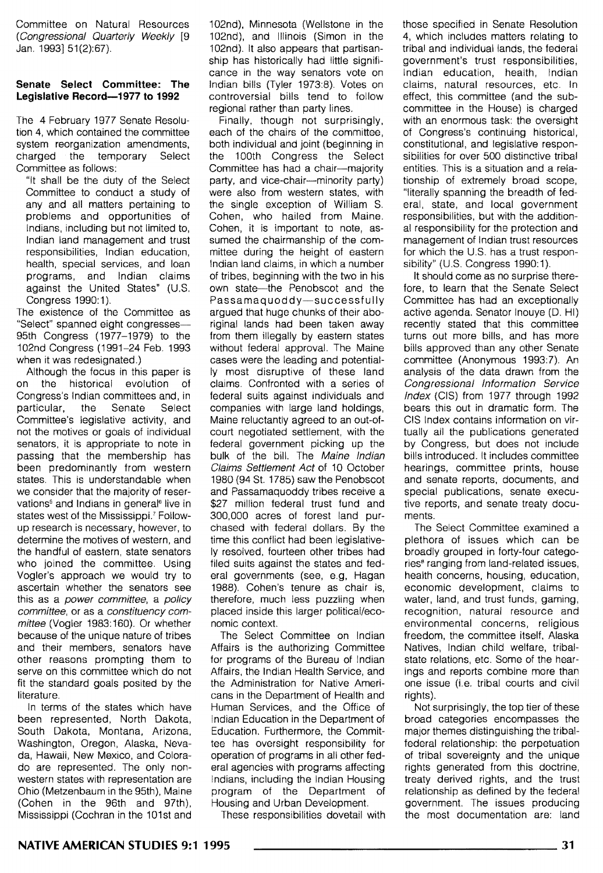Committee on Natural Resources (Congressional Quarterly Weekly [9 Jan. 1993] 51(2):67).

#### **Senate Select Committee: The Legislative Record-1977 to 1992**

The 4 February 1977 Senate Resolution 4, which contained the committee system reorganization amendments. charged the temporary Select Committee as follows:

"It shall be the duty of the Select Committee to conduct a study of any and all matters pertaining to problems and opportunities of Indians, including but not limited to, Indian land management and trust responsibilities, Indian education, health, special services, and loan programs, and Indian claims against the United States" (U.S. Congress 1990: 1 ).

The existence of the Committee as "Select" spanned eight congresses-95th Congress (1977-1979) to the 102nd Congress (1991-24 Feb. 1993 when it was redesignated.)

Although the focus in this paper is on the historical evolution of Congress's Indian committees and, in<br>particular, the Senate Select particular, the Senate Committee's legislative activity, and not the motives or goals of individual senators, it is appropriate to note in passing that the membership has been predominantly from western states. This is understandable when we consider that the majority of reservations<sup>6</sup> and Indians in general<sup>6</sup> live in states west of the Mississippi.' Followup research is necessary, however, to determine the motives of western, and the handful of eastern, state senators who joined the committee. Using Vogler's approach we would try to ascertain whether the senators see this as a power committee, a policy committee, or as a constituency committee (Vogler 1983: 160). Or whether because of the unique nature of tribes and their members, senators have other reasons prompting them to serve on this committee which do not fit the standard goals posited by the literature.

In terms of the states which have been represented, North Dakota, South Dakota, Montana, Arizona, Washington, Oregon, Alaska, Nevada, Hawaii, New Mexico, and Colorado are represented. The only nonwestern states with representation are Ohio (Metzenbaum in the 95th), Maine (Cohen in the 96th and 97th), Mississippi (Cochran in the 101st and

102nd), Minnesota (Wellstone in the 102nd), and Illinois (Simon in the 102nd). It also appears that partisanship has historically had little significance in the way senators vote on Indian bills (Tyler 1973:8). Votes on controversial bills tend to follow regional rather than party lines.

Finally, though not surprisingly, each of the chairs of the committee, both individual and joint (beginning in the 100th Congress the Select Committee has had a chair-majority party, and vice-chair--minority party) were also from western states, with the single exception of William S. Cohen, who hailed from Maine. Cohen, it is important to note, assumed the chairmanship of the committee during the height of eastern Indian land claims, in which a number of tribes, beginning with the two in his own state-the Penobscot and the Passamaquoddy-successfully argued that huge chunks of their aboriginal lands had been taken away from them illegally by eastern states without federal approval. The Maine cases were the leading and potentially most disruptive of these land claims. Confronted with a series of federal suits against individuals and companies with large land holdings, Maine reluctantly agreed to an out-ofcourt negotiated settlement, with the federal government picking up the bulk of the bill. The Maine Indian Claims Settlement Act of 10 October 1980 (94 St. 1785) saw the Penobscot and Passamaquoddy tribes receive a \$27 million federal trust fund and 300,000 acres of forest land purchased with federal dollars. By the time this conflict had been legislatively resolved, fourteen other tribes had filed suits against the states and federal governments (see, e.g. Hagan 1988). Cohen's tenure as chair is, therefore, much less puzzling when placed inside this larger political/economic context.

The Select Committee on Indian Affairs is the authorizing Committee for programs of the Bureau of Indian Affairs, the Indian Health Service, and the Administration for Native Americans in the Department of Health and Human Services, and the Office of Indian Education in the Department of Education. Furthermore, the Committee has oversight responsibility for operation of programs in all other federal agencies with programs affecting Indians, including the Indian Housing program of the Department of Housing and Urban Development

These responsibilities dovetail with

those specified in Senate Resolution 4, which includes matters relating to tribal and individual lands, the federal government's trust responsibilities, Indian education, health, Indian claims, natural resources, etc. In effect, this committee (and the subcommittee in the House) is charged with an enormous task: the oversight of Congress's continuing historical, constitutional, and legislative responsibilities for over 500 distinctive tribal entities. This is a situation and a relationship of extremely broad scope, "literally spanning the breadth of federal, state, and local government responsibilities, but with the additional responsibility for the protection and management of Indian trust resources for which the U.S. has a trust responsibility" (U.S. Congress 1990:1).

It should come as no surprise therefore, to learn that the Senate Select Committee has had an exceptionally active agenda. Senator Inouye (D. HI) recently stated that this committee turns out more bills, and has more bills approved than any other Senate committee (Anonymous 1993:7). An analysis of the data drawn from the Congressional Information Service Index (CIS) from 1977 through 1992 bears this out in dramatic form. The CIS Index contains information on virtually all the publications generated by Congress, but does not include bills introduced. It includes committee hearings, committee prints, house and senate reports, documents, and special publications, senate executive reports, and senate treaty documents.

The Select Committee examined a plethora of issues which can be broadly grouped in forty-four categories• ranging from land-related issues, health concerns, housing, education, economic development, claims to water, land, and trust funds, gaming, recognition, natural resource and environmental concerns, religious freedom, the committee itself, Alaska Natives, Indian child welfare, tribalstate relations, etc. Some of the hearings and reports combine more than one issue (i.e. tribal courts and civil rights).

Not surprisingly, the top tier of these broad categories encompasses the major themes distinguishing the tribalfederal relationship: the perpetuation of tribal sovereignty and the unique rights generated from this doctrine, treaty derived rights, and the trust relationship as defined by the federal government. The issues producing the most documentation are: land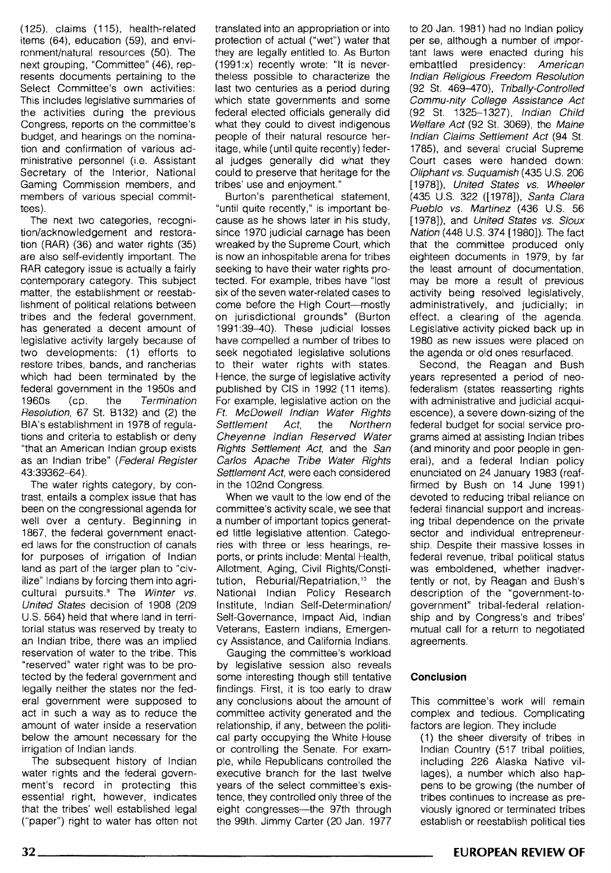(125), claims ( 115), health-related items (64), education (59), and environment/natural resources (50). The next grouping, "Committee" (46), represents documents pertaining to the Select Committee's own activities: This includes legislative summaries of the activities during the previous Congress, reports on the committee's budget, and hearings on the nomination and confirmation of various administrative personnel (i.e. Assistant Secretary of the Interior, National Gaming Commission members, and members of various special committees).

The next two categories, recognition/acknowledgement and restoration (RAR) (36) and water rights (35) are also self-evidently important. The RAR category issue is actually a fairly contemporary category. This subject matter, the establishment or reestablishment of political relations between tribes and the federal government, has generated a decent amount of legislative activity largely because of two developments: (1) efforts to restore tribes, bands, and rancherias which had been terminated by the federal government in the 1950s and 1960s (cp. the Termination Resolution, 67 St. B132) and (2) the BIA's establishment in 1978 of regulations and criteria to establish or deny "that an American Indian group exists as an Indian tribe" (Federal Register 43:39362-64).

The water rights category, by contrast, entails a complex issue that has been on the congressional agenda for well over a century. Beginning in 1867, the federal government enacted laws for the construction of canals for purposes of irrigation of Indian land as part of the larger plan to "civilize" Indians by forcing them into agricultural pursuits.<sup>9</sup> The Winter vs. United States decision of 1908 (209 U.S. 564) held that where land in territorial status was reserved by treaty to an Indian tribe, there was an implied reservation of water to the tribe. This "reserved" water right was to be protected by the federal government and legally neither the states nor the federal government were supposed to act in such a way as to reduce the amount of water inside a reservation below the amount necessary for the irrigation of Indian lands.

The subsequent history of Indian water rights and the federal government's record in protecting this essential right, however, indicates that the tribes' well established legal ("paper") right to water has often not

translated into an appropriation or into protection of actual ("wet") water that they are legally entitled to. As Burton (1991:x) recently wrote: "It is nevertheless possible to characterize the last two centuries as a period during which state governments and some federal elected officials generally did what they could to divest indigenous people of their natural resource heritage, while (until quite recently) federal judges generally did what they could to preserve that heritage for the tribes' use and enjoyment."

Burton's parenthetical statement, "until quite recently," is important because as he shows later in his study, since 1970 judicial carnage has been wreaked by the Supreme Court, which is now an inhospitable arena for tribes seeking to have their water rights protected. For example, tribes have "lost six of the seven water-related cases to come before the High Court-mostly on jurisdictional grounds" (Burton 1991 :39-40). These judicial losses have compelled a number of tribes to seek negotiated legislative solutions to their water rights with states. Hence, the surge of legislative activity published by CIS in 1992 (11 items). For example, legislative action on the Ft. McDowell Indian Water Rights Settlement Act, the Northern Cheyenne Indian Reserved Water Rights Settlement Act, and the San Carlos Apache Tribe Water Rights Settlement Act, were each considered in the 102nd Congress.

When we vault to the low end of the committee's activity scale, we see that a number of important topics generated little legislative attention. Categories with three or less hearings, reports, or prints include: Mental Health, Allotment, Aging, Civil Rights/Constitution, Reburial/Repatriation,<sup>10</sup> the National Indian Policy Research Institute, Indian Self-Determination/ Self-Governance, Impact Aid, Indian Veterans, Eastern Indians, Emergency Assistance, and California Indians.

Gauging the committee's workload by legislative session also reveals some interesting though still tentative findings. First, it is too early to draw any conclusions about the amount of committee activity generated and the relationship, if any, between the political party occupying the White House or controlling the Senate. For example, while Republicans controlled the executive branch for the last twelve years of the select committee's existence, they controlled only three of the eight congresses-the 97th through the 99th. Jimmy Carter (20 Jan. 1977 to 20 Jan. 1981) had no Indian policy per se, although a number of important laws were enacted during his embattled presidency: American Indian Religious Freedom Resolution (92 St. 469-470), Tribally-Controlled Commu-nity College Assistance Act (92 St. 1325-1327), Indian Child Welfare Act (92 St. 3069), the Maine Indian Claims Settlement Act (94 St. 1785}, and several crucial Supreme Court cases were handed down: Oliphant vs. Suquamish (435 U.S. 206 [1978]), United States vs. Wheeler (435 U.S. 322 ([1978]), Santa Clara Pueblo vs. Martinez (436 U.S. 56 [1978]), and United States vs. Sioux Nation (448 U.S. 374 (1980]). The fact that the committee produced only eighteen documents in 1979, by far the least amount of documentation, may be more a result of previous activity being resolved legislatively, administratively, and judicially; in effect, a clearing of the agenda. Legislative activity picked back up in 1980 as new issues were placed on the agenda or old ones resurfaced.

Second, the Reagan and Bush years represented a period of neofederalism (states reasserting rights with administrative and judicial acquiescence), a severe down-sizing of the federal budget for social service programs aimed at assisting Indian tribes (and minority and poor people in general), and a federal Indian policy enunciated on 24 January 1983 (reaffirmed by Bush on 14 June 1991) devoted to reducing tribal reliance on federal financial support and increasing tribal dependence on the private sector and individual entrepreneurship. Despite their massive losses in federal revenue, tribal political status was emboldened, whether inadvertently or not, by Reagan and Bush's description of the "government-togovernment" tribal-federal relationship and by Congress's and tribes' mutual call for a return to negotiated agreements.

#### **Conclusion**

This committee's work will remain complex and tedious. Complicating factors are legion. They include

( 1) the sheer diversity of tribes in Indian Country (517 tribal polities, including 226 Alaska Native villages), a number which also happens to be growing (the number of tribes continues to increase as previously ignored or terminated tribes establish or reestablish political ties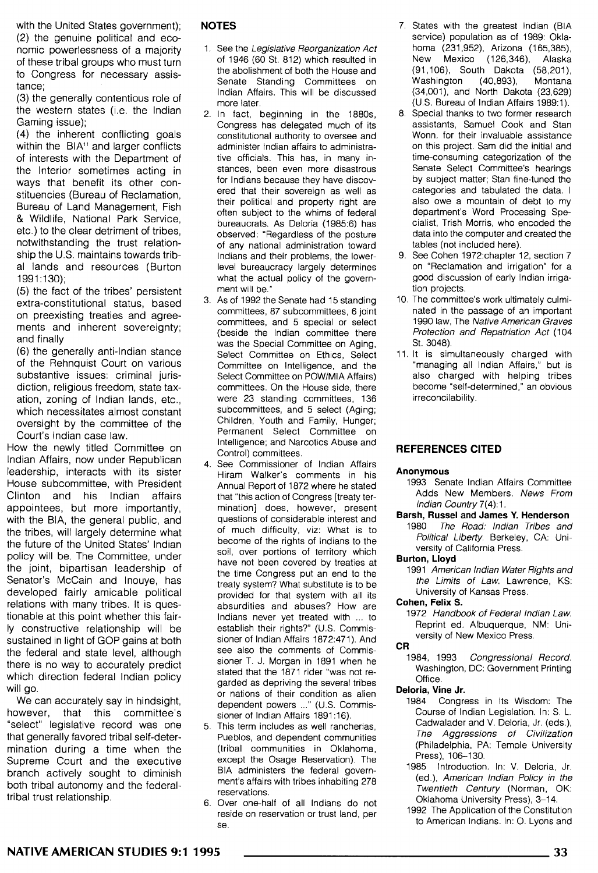with the United States government); (2) the genuine political and economic powerlessness of a majority of these tribal groups who must turn to Congress for necessary assistance;

(3) the generally contentious role of the western states (i.e. the Indian Gaming issue);

(4) the inherent conflicting goals within the BIA<sup>11</sup> and larger conflicts of interests with the Department of the Interior sometimes acting in ways that benefit its other constituencies (Bureau of Reclamation, Bureau of Land Management, Fish & Wildlife, National Park Service, etc.) to the clear detriment of tribes, notwithstanding the trust relationship the U.S. maintains towards tribal lands and resources (Burton 1991:130);

(5) the fact of the tribes' persistent extra-constitutional status, based on preexisting treaties and agreements and inherent sovereignty; and finally

(6) the generally anti-Indian stance of the Rehnquist Court on various substantive issues: criminal jurisdiction, religious freedom, state taxation, zoning of Indian lands, etc., which necessitates almost constant oversight by the committee of the Court's Indian case law.

How the newly titled Committee on Indian Affairs, now under Republican leadership, interacts with its sister House subcommittee, with President Clinton and his Indian affairs appointees, but more importantly, with the BIA, the general public, and the tribes, will largely determine what the future of the United States' Indian policy will be. The Committee, under the joint, bipartisan leadership of Senator's McCain and Inouye, has developed fairly amicable political relations with many tribes. It is questionable at this point whether this fairly constructive relationship will be sustained in light of GOP gains at both the federal and state level, although there is no way to accurately predict which direction federal Indian policy will go.

We can accurately say in hindsight, however, that this committee's "select" legislative record was one that generally favored tribal self-determination during a time when the Supreme Court and the executive branch actively sought to diminish both tribal autonomy and the federaltribal trust relationship.

#### **NOTES**

- 1. See the Legislative Reorganization Act of 1946 (60 St. 812) which resulted in the abolishment of both the House and Senate Standing Committees on Indian Affairs. This will be discussed more later.
- 2. In fact, beginning in the 1880s, Congress has delegated much of its constitutional authority to oversee and administer Indian affairs to administrative officials. This has, in many instances, been even more disastrous for Indians because they have discovered that their sovereign as well as their political and property right are often subject to the whims of federal bureaucrats. As Deloria (1985:6) has observed: "Regardless of the posture of any national administration toward Indians and their problems, the lowerlevel bureaucracy largely determines what the actual policy of the government will be."
- 3. As of 1992 the Senate had 15 standing committees, 87 subcommittees, 6 joint committees, and 5 special or select {beside the Indian committee there was the Special Committee on Aging, Select Committee on Ethics, Select Committee on Intelligence, and the Select Committee on POW/MIA Affairs) committees. On the House side, there were 23 standing committees, 136 subcommittees, and 5 select (Aging; Children, Youth and Family, Hunger; Permanent Select Committee on Intelligence; and Narcotics Abuse and Control) committees.
- 4. See Commissioner of Indian Affairs Hiram Walker's comments in his Annual Report of 1872 where he stated that "this action of Congress [treaty termination] does, however, present questions of considerable interest and of much difficulty, viz: What is to become of the rights of Indians to the soil, over portions of territory which have not been covered by treaties at the time Congress put an end to the treaty system? What substitute is to be provided for that system with all its absurdities and abuses? How are Indians never yet treated with ... to establish their rights?" (U.S. Commissioner of Indian Affairs 1872:471). And see also the comments of Commissioner T. J. Morgan in 1891 when he stated that the 1871 rider "was not regarded as depriving the several tribes or nations of their condition as alien dependent powers ..." (U.S. Commissioner of Indian Affairs 1891:16).
- 5. This term includes as well rancherias, Pueblos, and dependent communities (tribal communities in Oklahoma, except the Osage Reservation). The BIA administers the federal government's affairs with tribes inhabiting 278 reservations.
- 6. Over one-half of all Indians do not reside on reservation or trust land, per se.
- 7. States with the greatest Indian {BIA service) population as of 1989: Oklahoma (231,952), Arizona (165,385), New Mexico (126,346), Alaska (91,106), South Dakota (58,201), Washington (40,893), Montana (34,001), and North Dakota {23,629) (U.S. Bureau of Indian Affairs 1989:1).
- 8. Special thanks to two former research assistants, Samuel Cook and Stan Wann, for their invaluable assistance on this project. Sam did the initial and time-consuming categorization of the Senate Select Committee's hearings by subject matter; Stan fine-tuned the categories and tabulated the data. I also owe a mountain of debt to my department's Word Processing Specialist, Trish Morris, who encoded the data into the computer and created the tables (not included here).
- 9. See Cohen 1972:chapter 12, section 7 on "Reclamation and Irrigation" for a good discussion of early Indian irrigation projects.
- 10. The committee's work ultimately culminated in the passage of an important 1990 law, The Native American Graves Protection and Repatriation Act (104 St. 3048).
- 11. It is simultaneously charged with "managing all Indian Affairs," but is also charged with helping tribes become "self-determined," an obvious irreconcilability.

#### **REFERENCES CITED**

#### **Anonymous**

- 1993 Senate Indian Affairs Committee Adds New Members. News From Indian Country 7(4):1.
- **Barsh, Russel and James Y. Henderson** 
	- 1980 The Road: Indian Tribes and Political Liberty. Berkeley, CA: University of California Press.

#### **Burton, Lloyd**

1991 American Indian Water Rights and the Limits of Law. Lawrence, KS: University of Kansas Press.

#### **Cohen, Felix S.**

1972 Handbook of Federal Indian Law. Reprint ed. Albuquerque, NM: University of New Mexico Press.

#### **CR**

1984, 1993 Congressional Record. Washington, DC: Government Printing Office.

#### **Deloria, Vine Jr.**

- 1984 Congress in Its Wisdom: The Course of Indian Legislation. In: S. L. Cadwalader and V. Deloria, Jr. (eds.), The Aggressions of Civilization {Philadelphia, PA: Temple University Press), 106-130.
- 1985 Introduction. In: V. Deloria, Jr. (ed.), American Indian Policy in the Twentieth Century (Norman, OK: Oklahoma University Press), 3-14.
- 1992 The Application of the Constitution to American Indians. In: 0. Lyons and